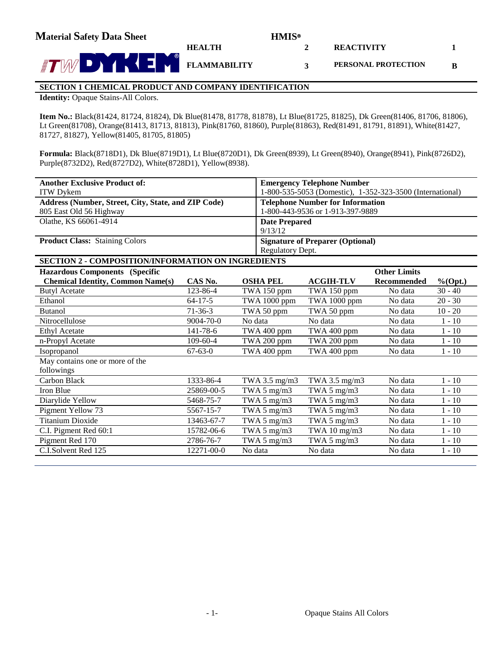**2**

**3**

**REACTIVITY**

**PERSONAL PROTECTION**

**1**

**B**



# **SECTION 1 CHEMICAL PRODUCT AND COMPANY IDENTIFICATION**

**HEALTH**

**Identity:** Opaque Stains-All Colors.

**Item No.:** Black(81424, 81724, 81824), Dk Blue(81478, 81778, 81878), Lt Blue(81725, 81825), Dk Green(81406, 81706, 81806), Lt Green(81708), Orange(81413, 81713, 81813), Pink(81760, 81860), Purple(81863), Red(81491, 81791, 81891), White(81427, 81727, 81827), Yellow(81405, 81705, 81805)

**Formula:** Black(8718D1), Dk Blue(8719D1), Lt Blue(8720D1), Dk Green(8939), Lt Green(8940), Orange(8941), Pink(8726D2), Purple(8732D2), Red(8727D2), White(8728D1), Yellow(8938).

| <b>Another Exclusive Product of:</b>                         |                      |                                         | <b>Emergency Telephone Number</b>                         |             |            |  |  |  |  |
|--------------------------------------------------------------|----------------------|-----------------------------------------|-----------------------------------------------------------|-------------|------------|--|--|--|--|
| ITW Dykem                                                    |                      |                                         | 1-800-535-5053 (Domestic), 1-352-323-3500 (International) |             |            |  |  |  |  |
| Address (Number, Street, City, State, and ZIP Code)          |                      | <b>Telephone Number for Information</b> |                                                           |             |            |  |  |  |  |
| 805 East Old 56 Highway                                      |                      | 1-800-443-9536 or 1-913-397-9889        |                                                           |             |            |  |  |  |  |
| Olathe, KS 66061-4914                                        | <b>Date Prepared</b> |                                         |                                                           |             |            |  |  |  |  |
|                                                              |                      | 9/13/12                                 |                                                           |             |            |  |  |  |  |
| <b>Product Class: Staining Colors</b>                        |                      | <b>Signature of Preparer (Optional)</b> |                                                           |             |            |  |  |  |  |
|                                                              |                      | Regulatory Dept.                        |                                                           |             |            |  |  |  |  |
| <b>SECTION 2 - COMPOSITION/INFORMATION ON INGREDIENTS</b>    |                      |                                         |                                                           |             |            |  |  |  |  |
| <b>Other Limits</b><br><b>Hazardous Components (Specific</b> |                      |                                         |                                                           |             |            |  |  |  |  |
| <b>Chemical Identity, Common Name(s)</b>                     | CAS No.              | <b>OSHA PEL</b>                         | <b>ACGIH-TLV</b>                                          | Recommended | $%$ (Opt.) |  |  |  |  |
| <b>Butyl Acetate</b>                                         | 123-86-4             | TWA 150 ppm                             | TWA 150 ppm                                               | No data     | $30 - 40$  |  |  |  |  |
| Ethanol                                                      | $64 - 17 - 5$        | <b>TWA 1000 ppm</b>                     | TWA 1000 ppm                                              | No data     | $20 - 30$  |  |  |  |  |
| <b>Butanol</b>                                               | $71 - 36 - 3$        | TWA 50 ppm                              | TWA 50 ppm                                                | No data     | $10 - 20$  |  |  |  |  |
| Nitrocellulose                                               | 9004-70-0            | No data                                 | No data                                                   | No data     | $1 - 10$   |  |  |  |  |
| <b>Ethyl Acetate</b>                                         | 141-78-6             | TWA 400 ppm                             | TWA 400 ppm                                               | No data     | $1 - 10$   |  |  |  |  |
| n-Propyl Acetate                                             | $109 - 60 - 4$       | TWA 200 ppm                             | TWA 200 ppm                                               | No data     | $1 - 10$   |  |  |  |  |
| Isopropanol                                                  | $67 - 63 - 0$        | TWA 400 ppm                             | TWA 400 ppm                                               | No data     | $1 - 10$   |  |  |  |  |
| May contains one or more of the                              |                      |                                         |                                                           |             |            |  |  |  |  |
| followings                                                   |                      |                                         |                                                           |             |            |  |  |  |  |
| <b>Carbon Black</b>                                          | 1333-86-4            | TWA 3.5 mg/m3                           | TWA 3.5 mg/m3                                             | No data     | $1 - 10$   |  |  |  |  |
| Iron Blue                                                    | 25869-00-5           | TWA $5 \text{ mg/m}$ 3                  | TWA $5 \text{ mg/m}$ 3                                    | No data     | $1 - 10$   |  |  |  |  |
| Diarylide Yellow                                             | 5468-75-7            | TWA 5 mg/m3                             | TWA 5 mg/m3                                               | No data     | $1 - 10$   |  |  |  |  |
| Pigment Yellow 73                                            | 5567-15-7            | TWA $5 \text{ mg/m}$ 3                  | TWA 5 mg/m3                                               | No data     | $1 - 10$   |  |  |  |  |
| Titanium Dioxide                                             | 13463-67-7           | TWA 5 mg/m3                             | TWA $5 \text{ mg/m}$ 3                                    | No data     | $1 - 10$   |  |  |  |  |
| C.I. Pigment Red 60:1                                        | 15782-06-6           | TWA 5 mg/m3                             | TWA 10 mg/m3                                              | No data     | $1 - 10$   |  |  |  |  |
| Pigment Red 170                                              | 2786-76-7            | TWA 5 mg/m3                             | TWA 5 mg/m3                                               | No data     | $1 - 10$   |  |  |  |  |
| C.I.Solvent Red 125                                          | $12271 - 00 - 0$     | No data                                 | No data                                                   | No data     | $1 - 10$   |  |  |  |  |
|                                                              |                      |                                         |                                                           |             |            |  |  |  |  |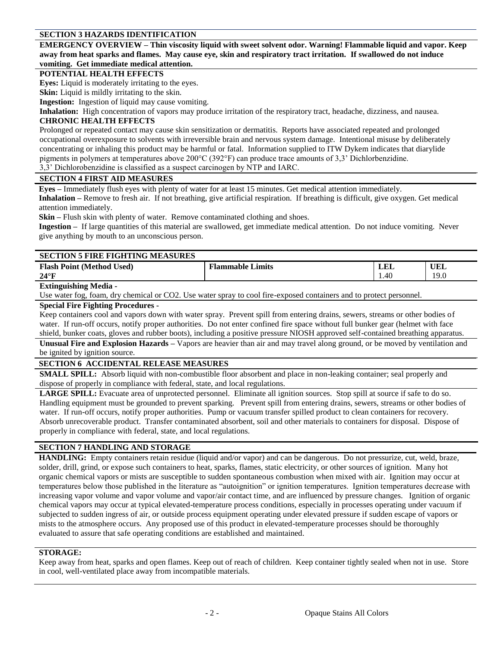### **SECTION 3 HAZARDS IDENTIFICATION**

**EMERGENCY OVERVIEW – Thin viscosity liquid with sweet solvent odor. Warning! Flammable liquid and vapor. Keep away from heat sparks and flames. May cause eye, skin and respiratory tract irritation. If swallowed do not induce vomiting. Get immediate medical attention.**

#### **POTENTIAL HEALTH EFFECTS**

**Eyes:** Liquid is moderately irritating to the eyes.

**Skin:** Liquid is mildly irritating to the skin.

**Ingestion:** Ingestion of liquid may cause vomiting.

**Inhalation:** High concentration of vapors may produce irritation of the respiratory tract, headache, dizziness, and nausea. **CHRONIC HEALTH EFFECTS**

Prolonged or repeated contact may cause skin sensitization or dermatitis. Reports have associated repeated and prolonged occupational overexposure to solvents with irreversible brain and nervous system damage. Intentional misuse by deliberately concentrating or inhaling this product may be harmful or fatal. Information supplied to ITW Dykem indicates that diarylide pigments in polymers at temperatures above 200°C (392°F) can produce trace amounts of 3,3' Dichlorbenzidine.

3,3' Dichlorobenzidine is classified as a suspect carcinogen by NTP and IARC.

#### **SECTION 4 FIRST AID MEASURES**

**Eyes –** Immediately flush eyes with plenty of water for at least 15 minutes. Get medical attention immediately. **Inhalation –** Remove to fresh air. If not breathing, give artificial respiration. If breathing is difficult, give oxygen. Get medical attention immediately.

**Skin** – Flush skin with plenty of water. Remove contaminated clothing and shoes.

**Ingestion –** If large quantities of this material are swallowed, get immediate medical attention. Do not induce vomiting. Never give anything by mouth to an unconscious person.

# **SECTION 5 FIRE FIGHTING MEASURES**

| <b>Flash Point (Method</b><br>Used) | $\sim$<br>Limits<br>'lammable ! | . π∗<br>LEL | UEL                     |
|-------------------------------------|---------------------------------|-------------|-------------------------|
| $24^{\circ}F$                       |                                 | 1.40        | 10 <sub>1</sub><br>17.V |
| ---<br>---<br>.                     |                                 |             |                         |

#### **Extinguishing Media -**

Use water fog, foam, dry chemical or CO2. Use water spray to cool fire-exposed containers and to protect personnel.

## **Special Fire Fighting Procedures -**

Keep containers cool and vapors down with water spray. Prevent spill from entering drains, sewers, streams or other bodies of water. If run-off occurs, notify proper authorities. Do not enter confined fire space without full bunker gear (helmet with face shield, bunker coats, gloves and rubber boots), including a positive pressure NIOSH approved self-contained breathing apparatus.

**Unusual Fire and Explosion Hazards –** Vapors are heavier than air and may travel along ground, or be moved by ventilation and be ignited by ignition source.

#### **SECTION 6 ACCIDENTAL RELEASE MEASURES**

**SMALL SPILL:** Absorb liquid with non-combustible floor absorbent and place in non-leaking container; seal properly and dispose of properly in compliance with federal, state, and local regulations.

**LARGE SPILL:** Evacuate area of unprotected personnel. Eliminate all ignition sources. Stop spill at source if safe to do so. Handling equipment must be grounded to prevent sparking. Prevent spill from entering drains, sewers, streams or other bodies of water. If run-off occurs, notify proper authorities. Pump or vacuum transfer spilled product to clean containers for recovery. Absorb unrecoverable product. Transfer contaminated absorbent, soil and other materials to containers for disposal. Dispose of properly in compliance with federal, state, and local regulations.

#### **SECTION 7 HANDLING AND STORAGE**

**HANDLING:** Empty containers retain residue (liquid and/or vapor) and can be dangerous. Do not pressurize, cut, weld, braze, solder, drill, grind, or expose such containers to heat, sparks, flames, static electricity, or other sources of ignition. Many hot organic chemical vapors or mists are susceptible to sudden spontaneous combustion when mixed with air. Ignition may occur at temperatures below those published in the literature as "autoignition" or ignition temperatures. Ignition temperatures decrease with increasing vapor volume and vapor volume and vapor/air contact time, and are influenced by pressure changes. Ignition of organic chemical vapors may occur at typical elevated-temperature process conditions, especially in processes operating under vacuum if subjected to sudden ingress of air, or outside process equipment operating under elevated pressure if sudden escape of vapors or mists to the atmosphere occurs. Any proposed use of this product in elevated-temperature processes should be thoroughly evaluated to assure that safe operating conditions are established and maintained.

#### **STORAGE:**

Keep away from heat, sparks and open flames. Keep out of reach of children. Keep container tightly sealed when not in use. Store in cool, well-ventilated place away from incompatible materials.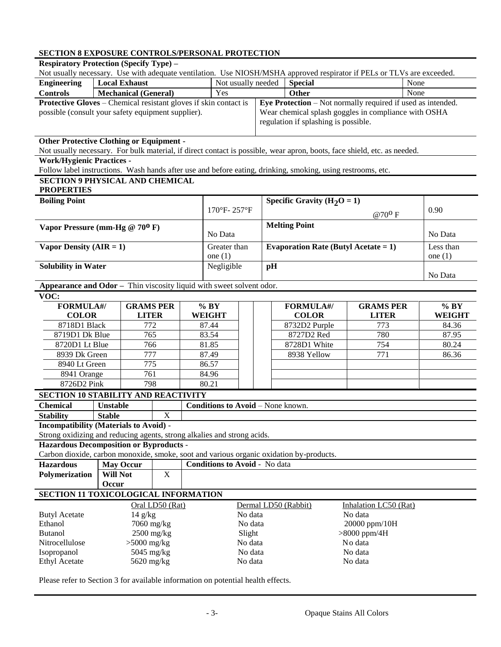# **SECTION 8 EXPOSURE CONTROLS/PERSONAL PROTECTION**

**Respiratory Protection (Specify Type) –**

| Not usually necessary. Use with adequate ventilation. Use NIOSH/MSHA approved respirator if PELs or TLVs are exceeded. |                                      |                                    |                                 |                    |                                      |                                                             |                                                      |                                         |                                                                                                                          |         |           |
|------------------------------------------------------------------------------------------------------------------------|--------------------------------------|------------------------------------|---------------------------------|--------------------|--------------------------------------|-------------------------------------------------------------|------------------------------------------------------|-----------------------------------------|--------------------------------------------------------------------------------------------------------------------------|---------|-----------|
| <b>Engineering</b>                                                                                                     |                                      | <b>Local Exhaust</b>               |                                 | Not usually needed |                                      |                                                             | <b>Special</b>                                       |                                         |                                                                                                                          | None    |           |
| <b>Controls</b>                                                                                                        |                                      | <b>Mechanical (General)</b><br>Yes |                                 |                    |                                      |                                                             | Other<br>None                                        |                                         |                                                                                                                          |         |           |
| <b>Protective Gloves – Chemical resistant gloves if skin contact is</b>                                                |                                      |                                    |                                 |                    |                                      | Eye Protection – Not normally required if used as intended. |                                                      |                                         |                                                                                                                          |         |           |
| possible (consult your safety equipment supplier).                                                                     |                                      |                                    |                                 |                    |                                      |                                                             | Wear chemical splash goggles in compliance with OSHA |                                         |                                                                                                                          |         |           |
|                                                                                                                        |                                      |                                    |                                 |                    |                                      | regulation if splashing is possible.                        |                                                      |                                         |                                                                                                                          |         |           |
| <b>Other Protective Clothing or Equipment -</b>                                                                        |                                      |                                    |                                 |                    |                                      |                                                             |                                                      |                                         |                                                                                                                          |         |           |
|                                                                                                                        |                                      |                                    |                                 |                    |                                      |                                                             |                                                      |                                         | Not usually necessary. For bulk material, if direct contact is possible, wear apron, boots, face shield, etc. as needed. |         |           |
| <b>Work/Hygienic Practices -</b>                                                                                       |                                      |                                    |                                 |                    |                                      |                                                             |                                                      |                                         |                                                                                                                          |         |           |
| Follow label instructions. Wash hands after use and before eating, drinking, smoking, using restrooms, etc.            |                                      |                                    |                                 |                    |                                      |                                                             |                                                      |                                         |                                                                                                                          |         |           |
| <b>SECTION 9 PHYSICAL AND CHEMICAL</b><br><b>PROPERTIES</b>                                                            |                                      |                                    |                                 |                    |                                      |                                                             |                                                      |                                         |                                                                                                                          |         |           |
| <b>Boiling Point</b>                                                                                                   |                                      |                                    |                                 |                    |                                      |                                                             |                                                      | Specific Gravity $(H_2O = 1)$           |                                                                                                                          |         |           |
|                                                                                                                        |                                      |                                    |                                 |                    | $170^{\circ}$ F- $257^{\circ}$ F     |                                                             |                                                      |                                         | $@70^{\mathrm{O}}$ F                                                                                                     |         | 0.90      |
|                                                                                                                        |                                      |                                    |                                 |                    |                                      |                                                             |                                                      |                                         |                                                                                                                          |         |           |
| Vapor Pressure (mm-Hg $@ 70^0 F$ )                                                                                     |                                      |                                    |                                 |                    | <b>Melting Point</b><br>No Data      |                                                             |                                                      |                                         |                                                                                                                          | No Data |           |
| Vapor Density $(AIR = 1)$                                                                                              |                                      |                                    |                                 |                    | Greater than                         |                                                             |                                                      | Evaporation Rate (Butyl Acetate = $1$ ) |                                                                                                                          |         | Less than |
|                                                                                                                        |                                      |                                    |                                 |                    | one $(1)$                            |                                                             |                                                      |                                         |                                                                                                                          |         | one $(1)$ |
| <b>Solubility in Water</b>                                                                                             |                                      |                                    |                                 |                    | Negligible                           |                                                             | pH                                                   |                                         |                                                                                                                          |         |           |
|                                                                                                                        |                                      |                                    |                                 |                    |                                      |                                                             |                                                      |                                         |                                                                                                                          |         | No Data   |
| Appearance and Odor - Thin viscosity liquid with sweet solvent odor.                                                   |                                      |                                    |                                 |                    |                                      |                                                             |                                                      |                                         |                                                                                                                          |         |           |
| VOC:                                                                                                                   |                                      |                                    |                                 |                    |                                      |                                                             |                                                      |                                         |                                                                                                                          |         |           |
| <b>FORMULA#/</b>                                                                                                       |                                      | <b>GRAMS PER</b>                   |                                 |                    | % BY                                 |                                                             |                                                      | <b>FORMULA#/</b>                        | <b>GRAMS PER</b>                                                                                                         |         | % BY      |
| <b>COLOR</b><br><b>LITER</b><br>8718D1 Black<br>772                                                                    |                                      | <b>WEIGHT</b><br>87.44             |                                 |                    | <b>COLOR</b><br>8732D2 Purple        | <b>LITER</b><br>773                                         |                                                      | <b>WEIGHT</b><br>84.36                  |                                                                                                                          |         |           |
|                                                                                                                        | 8719D1 Dk Blue<br>765                |                                    | 83.54                           |                    |                                      | 8727D2 Red                                                  | 780                                                  |                                         | 87.95                                                                                                                    |         |           |
|                                                                                                                        | 8720D1 Lt Blue<br>766                |                                    |                                 | 81.85              |                                      |                                                             | 8728D1 White                                         | 754                                     |                                                                                                                          | 80.24   |           |
|                                                                                                                        | 8939 Dk Green<br>777                 |                                    |                                 | 87.49              |                                      |                                                             | 8938 Yellow                                          | 771                                     |                                                                                                                          | 86.36   |           |
| 8940 Lt Green                                                                                                          |                                      | 775                                |                                 |                    | 86.57                                |                                                             |                                                      |                                         |                                                                                                                          |         |           |
| 8941 Orange                                                                                                            |                                      | 761                                |                                 |                    | 84.96                                |                                                             |                                                      |                                         |                                                                                                                          |         |           |
| 8726D2 Pink                                                                                                            |                                      | 798                                |                                 |                    | 80.21                                |                                                             |                                                      |                                         |                                                                                                                          |         |           |
| <b>SECTION 10 STABILITY AND REACTIVITY</b>                                                                             |                                      |                                    |                                 |                    |                                      |                                                             |                                                      |                                         |                                                                                                                          |         |           |
| <b>Chemical</b>                                                                                                        | <b>Unstable</b>                      |                                    |                                 |                    | Conditions to Avoid - None known.    |                                                             |                                                      |                                         |                                                                                                                          |         |           |
| <b>Stability</b>                                                                                                       | <b>Stable</b>                        |                                    | $\mathbf X$                     |                    |                                      |                                                             |                                                      |                                         |                                                                                                                          |         |           |
| <b>Incompatibility (Materials to Avoid) -</b>                                                                          |                                      |                                    |                                 |                    |                                      |                                                             |                                                      |                                         |                                                                                                                          |         |           |
| Strong oxidizing and reducing agents, strong alkalies and strong acids.                                                |                                      |                                    |                                 |                    |                                      |                                                             |                                                      |                                         |                                                                                                                          |         |           |
| <b>Hazardous Decomposition or Byproducts -</b>                                                                         |                                      |                                    |                                 |                    |                                      |                                                             |                                                      |                                         |                                                                                                                          |         |           |
| Carbon dioxide, carbon monoxide, smoke, soot and various organic oxidation by-products.                                |                                      |                                    |                                 |                    |                                      |                                                             |                                                      |                                         |                                                                                                                          |         |           |
| <b>Hazardous</b>                                                                                                       |                                      | <b>May Occur</b>                   |                                 |                    | <b>Conditions to Avoid - No data</b> |                                                             |                                                      |                                         |                                                                                                                          |         |           |
| Polymerization                                                                                                         | <b>Will Not</b>                      |                                    | $\mathbf X$                     |                    |                                      |                                                             |                                                      |                                         |                                                                                                                          |         |           |
|                                                                                                                        | Occur                                |                                    |                                 |                    |                                      |                                                             |                                                      |                                         |                                                                                                                          |         |           |
| SECTION 11 TOXICOLOGICAL INFORMATION                                                                                   |                                      |                                    |                                 |                    |                                      |                                                             |                                                      |                                         |                                                                                                                          |         |           |
| <b>Butyl Acetate</b>                                                                                                   | Oral LD50 (Rat)<br>$14 \text{ g/kg}$ |                                    | Dermal LD50 (Rabbit)<br>No data |                    |                                      | Inhalation LC50 (Rat)<br>No data                            |                                                      |                                         |                                                                                                                          |         |           |
| Ethanol                                                                                                                |                                      |                                    | 7060 mg/kg                      |                    |                                      | No data                                                     |                                                      |                                         | 20000 ppm/10H                                                                                                            |         |           |
| <b>Butanol</b>                                                                                                         |                                      |                                    | $2500$ mg/kg                    |                    |                                      | Slight                                                      |                                                      |                                         | $>8000$ ppm/4H                                                                                                           |         |           |
| Nitrocellulose                                                                                                         |                                      | $>5000$ mg/kg                      |                                 |                    |                                      | No data                                                     |                                                      |                                         | No data                                                                                                                  |         |           |
| Isopropanol                                                                                                            |                                      | 5045 mg/kg                         |                                 |                    |                                      | No data                                                     |                                                      |                                         | No data                                                                                                                  |         |           |
| <b>Ethyl Acetate</b>                                                                                                   |                                      | 5620 mg/kg                         |                                 | No data            |                                      | No data                                                     |                                                      |                                         |                                                                                                                          |         |           |
| Please refer to Section 3 for available information on potential health effects.                                       |                                      |                                    |                                 |                    |                                      |                                                             |                                                      |                                         |                                                                                                                          |         |           |